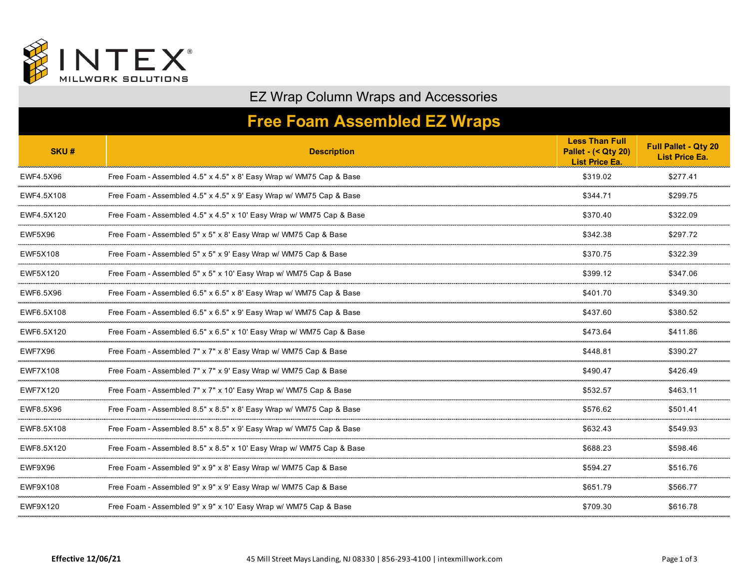

## EZ Wrap Column Wraps and Accessories

## **Free Foam Assembled EZ Wraps**

| SKU#            | <b>Description</b>                                                   | <b>Less Than Full</b><br><b>Pallet - (&lt; Qty 20)</b><br><b>List Price Ea.</b> | Full Pallet - Qty 20<br><b>List Price Ea</b> |
|-----------------|----------------------------------------------------------------------|---------------------------------------------------------------------------------|----------------------------------------------|
| EWF4.5X96       | Free Foam - Assembled 4.5" x 4.5" x 8' Easy Wrap w/ WM75 Cap & Base  | \$319.02                                                                        | \$277.41                                     |
| EWF4.5X108      | Free Foam - Assembled 4.5" x 4.5" x 9' Easy Wrap w/ WM75 Cap & Base  | \$344.71                                                                        | \$299.75                                     |
| EWF4.5X120      | Free Foam - Assembled 4.5" x 4.5" x 10' Easy Wrap w/ WM75 Cap & Base | \$370.40                                                                        | \$322.09                                     |
| <b>EWF5X96</b>  | Free Foam - Assembled 5" x 5" x 8' Easy Wrap w/ WM75 Cap & Base      | \$342.38                                                                        | \$297.72                                     |
| EWF5X108        | Free Foam - Assembled 5" x 5" x 9' Easy Wrap w/ WM75 Cap & Base      | \$370.75                                                                        | \$322.39                                     |
| EWF5X120        | Free Foam - Assembled 5" x 5" x 10' Easy Wrap w/ WM75 Cap & Base     | \$399.12                                                                        | \$347.06                                     |
| EWF6.5X96<br>   | Free Foam - Assembled 6.5" x 6.5" x 8' Easy Wrap w/ WM75 Cap & Base  | \$401.70                                                                        | \$349.30                                     |
| EWF6.5X108      | Free Foam - Assembled 6.5" x 6.5" x 9' Easy Wrap w/ WM75 Cap & Base  | \$437.60                                                                        | \$380.52                                     |
| EWF6.5X120      | Free Foam - Assembled 6.5" x 6.5" x 10' Easy Wrap w/ WM75 Cap & Base | \$473.64                                                                        | \$411.86                                     |
| EWF7X96         | Free Foam - Assembled 7" x 7" x 8' Easy Wrap w/ WM75 Cap & Base      | \$448.81                                                                        | \$390.27                                     |
| <b>EWF7X108</b> | Free Foam - Assembled 7" x 7" x 9' Easy Wrap w/ WM75 Cap & Base      | \$490.47                                                                        | \$426.49                                     |
| <b>EWF7X120</b> | Free Foam - Assembled 7" x 7" x 10' Easy Wrap w/ WM75 Cap & Base     | \$532.57                                                                        | \$463.11                                     |
| EWF8.5X96       | Free Foam - Assembled 8.5" x 8.5" x 8' Easy Wrap w/ WM75 Cap & Base  | \$576.62                                                                        | \$501.41                                     |
| EWF8.5X108      | Free Foam - Assembled 8.5" x 8.5" x 9' Easy Wrap w/ WM75 Cap & Base  | \$632.43                                                                        | \$549.93                                     |
| EWF8.5X120      | Free Foam - Assembled 8.5" x 8.5" x 10' Easy Wrap w/ WM75 Cap & Base | \$688.23                                                                        | \$598.46                                     |
| EWF9X96         | Free Foam - Assembled 9" x 9" x 8' Easy Wrap w/ WM75 Cap & Base      | \$594.27                                                                        | \$516.76                                     |
| EWF9X108        | Free Foam - Assembled 9" x 9" x 9' Easy Wrap w/ WM75 Cap & Base      | \$651.79                                                                        | \$566.77                                     |
| EWF9X120        | Free Foam - Assembled 9" x 9" x 10' Easy Wrap w/ WM75 Cap & Base     | \$709.30                                                                        | \$616.78                                     |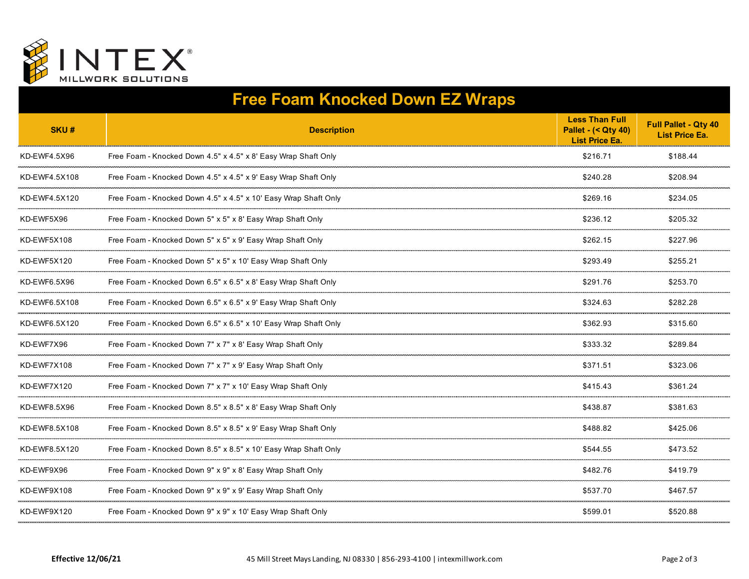

## **Free Foam Knocked Down EZ Wraps**

| SKU#          | <b>Description</b>                                              | <b>Less Than Full</b><br><b>Pallet - (&lt; Qty 40)</b><br><b>List Price Ea.</b> | <b>Full Pallet - Qty 40</b><br><b>List Price Ea.</b> |
|---------------|-----------------------------------------------------------------|---------------------------------------------------------------------------------|------------------------------------------------------|
| KD-EWF4.5X96  | Free Foam - Knocked Down 4.5" x 4.5" x 8' Easy Wrap Shaft Only  | \$216.71                                                                        | \$188.44                                             |
| KD-EWF4.5X108 | Free Foam - Knocked Down 4.5" x 4.5" x 9' Easy Wrap Shaft Only  | \$240.28                                                                        | \$208.94                                             |
| KD-EWF4.5X120 | Free Foam - Knocked Down 4.5" x 4.5" x 10' Easy Wrap Shaft Only | \$269.16                                                                        | \$234.05                                             |
| KD-EWF5X96    | Free Foam - Knocked Down 5" x 5" x 8' Easy Wrap Shaft Only      | \$236.12                                                                        | \$205.32                                             |
| KD-EWF5X108   | Free Foam - Knocked Down 5" x 5" x 9' Easy Wrap Shaft Only      | \$262.15                                                                        | \$227.96                                             |
| KD-EWF5X120   | Free Foam - Knocked Down 5" x 5" x 10' Easy Wrap Shaft Only     | \$293.49                                                                        | \$255.21                                             |
| KD-EWF6.5X96  | Free Foam - Knocked Down 6.5" x 6.5" x 8' Easy Wrap Shaft Only  | \$291.76                                                                        | \$253.70                                             |
| KD-EWF6.5X108 | Free Foam - Knocked Down 6.5" x 6.5" x 9' Easy Wrap Shaft Only  | \$324.63                                                                        | \$282.28                                             |
| KD-EWF6.5X120 | Free Foam - Knocked Down 6.5" x 6.5" x 10' Easy Wrap Shaft Only | \$362.93                                                                        | \$315.60                                             |
| KD-EWF7X96    | Free Foam - Knocked Down 7" x 7" x 8' Easy Wrap Shaft Only      | \$333.32                                                                        | \$289.84                                             |
| KD-EWF7X108   | Free Foam - Knocked Down 7" x 7" x 9' Easy Wrap Shaft Only      | \$371.51                                                                        | \$323.06                                             |
| KD-EWF7X120   | Free Foam - Knocked Down 7" x 7" x 10' Easy Wrap Shaft Only     | \$415.43                                                                        | \$361.24                                             |
| KD-EWF8.5X96  | Free Foam - Knocked Down 8.5" x 8.5" x 8' Easy Wrap Shaft Only  | \$438.87                                                                        | \$381.63                                             |
| KD-EWF8.5X108 | Free Foam - Knocked Down 8.5" x 8.5" x 9' Easy Wrap Shaft Only  | \$488.82                                                                        | \$425.06                                             |
| KD-EWF8.5X120 | Free Foam - Knocked Down 8.5" x 8.5" x 10' Easy Wrap Shaft Only | \$544.55                                                                        | \$473.52                                             |
| KD-EWF9X96    | Free Foam - Knocked Down 9" x 9" x 8' Easy Wrap Shaft Only      | \$482.76                                                                        | \$419.79                                             |
| KD-EWF9X108   | Free Foam - Knocked Down 9" x 9" x 9' Easy Wrap Shaft Only      | \$537.70                                                                        | \$467.57                                             |
| KD-EWF9X120   | Free Foam - Knocked Down 9" x 9" x 10' Easy Wrap Shaft Only     | \$599.01                                                                        | \$520.88                                             |